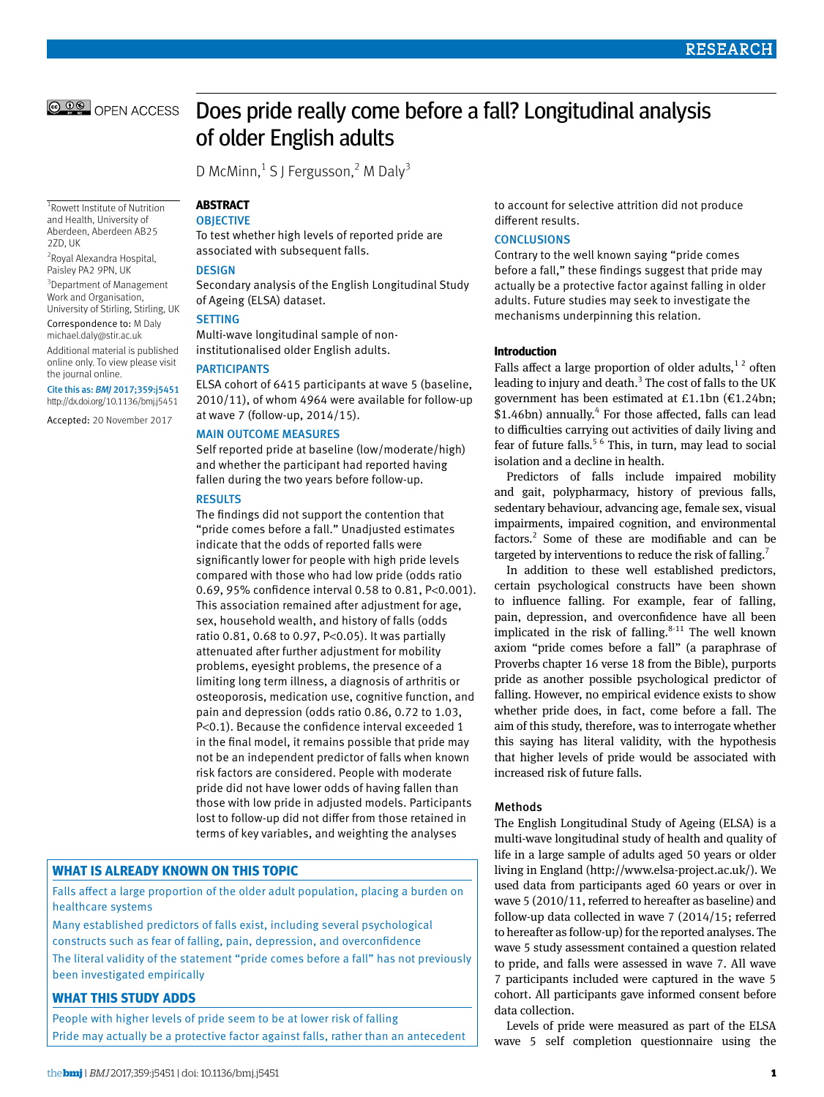© 00 OPEN ACCESS

# Does pride really come before a fall? Longitudinal analysis of older English adults

D McMinn,<sup>1</sup> S J Fergusson,<sup>2</sup> M Daly<sup>3</sup>

1 Rowett Institute of Nutrition and Health, University of Aberdeen, Aberdeen AB25 2ZD, UK

2 Royal Alexandra Hospital, Paisley PA<sub>2</sub> 9PN, UK

3 Department of Management Work and Organisation, University of Stirling, Stirling, UK Correspondence to: M Daly [michael.daly@stir.ac.uk](mailto:michael.daly@stir.ac.uk)

Additional material is published online only. To view please visit the journal online.

Cite this as: *BMJ* 2017;359:j5451 http://dx.doi.org/10.1136/bmj.j5451

Accepted: 20 November 2017

**ABSTRACT**

## **OBJECTIVE**

To test whether high levels of reported pride are associated with subsequent falls.

## **DESIGN**

Secondary analysis of the English Longitudinal Study of Ageing (ELSA) dataset.

## **SETTING**

Multi-wave longitudinal sample of noninstitutionalised older English adults.

#### PARTICIPANTS

ELSA cohort of 6415 participants at wave 5 (baseline, 2010/11), of whom 4964 were available for follow-up at wave 7 (follow-up, 2014/15).

## MAIN OUTCOME MEASURES

Self reported pride at baseline (low/moderate/high) and whether the participant had reported having fallen during the two years before follow-up.

## RESULTS

The findings did not support the contention that "pride comes before a fall." Unadjusted estimates indicate that the odds of reported falls were significantly lower for people with high pride levels compared with those who had low pride (odds ratio 0.69, 95% confidence interval 0.58 to 0.81, P<0.001). This association remained after adjustment for age, sex, household wealth, and history of falls (odds ratio 0.81, 0.68 to 0.97, P<0.05). It was partially attenuated after further adjustment for mobility problems, eyesight problems, the presence of a limiting long term illness, a diagnosis of arthritis or osteoporosis, medication use, cognitive function, and pain and depression (odds ratio 0.86, 0.72 to 1.03, P<0.1). Because the confidence interval exceeded 1 in the final model, it remains possible that pride may not be an independent predictor of falls when known risk factors are considered. People with moderate pride did not have lower odds of having fallen than those with low pride in adjusted models. Participants lost to follow-up did not differ from those retained in terms of key variables, and weighting the analyses

## **What is already known on this topic**

Falls affect a large proportion of the older adult population, placing a burden on healthcare systems

Many established predictors of falls exist, including several psychological constructs such as fear of falling, pain, depression, and overconfidence The literal validity of the statement "pride comes before a fall" has not previously been investigated empirically

### **What this study adds**

People with higher levels of pride seem to be at lower risk of falling Pride may actually be a protective factor against falls, rather than an antecedent to account for selective attrition did not produce different results.

## **CONCLUSIONS**

Contrary to the well known saying "pride comes before a fall," these findings suggest that pride may actually be a protective factor against falling in older adults. Future studies may seek to investigate the mechanisms underpinning this relation.

## **Introduction**

Falls affect a large proportion of older adults, $12$  often leading to injury and death. $3$  The cost of falls to the UK government has been estimated at £1.1bn (€1.24bn; \$1.46bn) annually.<sup>4</sup> For those affected, falls can lead to difficulties carrying out activities of daily living and fear of future falls.<sup>56</sup> This, in turn, may lead to social isolation and a decline in health.

Predictors of falls include impaired mobility and gait, polypharmacy, history of previous falls, sedentary behaviour, advancing age, female sex, visual impairments, impaired cognition, and environmental factors.2 Some of these are modifiable and can be targeted by interventions to reduce the risk of falling.<sup>7</sup>

In addition to these well established predictors, certain psychological constructs have been shown to influence falling. For example, fear of falling, pain, depression, and overconfidence have all been implicated in the risk of falling. $8-11$  The well known axiom "pride comes before a fall" (a paraphrase of Proverbs chapter 16 verse 18 from the Bible), purports pride as another possible psychological predictor of falling. However, no empirical evidence exists to show whether pride does, in fact, come before a fall. The aim of this study, therefore, was to interrogate whether this saying has literal validity, with the hypothesis that higher levels of pride would be associated with increased risk of future falls.

### Methods

The English Longitudinal Study of Ageing (ELSA) is a multi-wave longitudinal study of health and quality of life in a large sample of adults aged 50 years or older living in England ([http://www.elsa-project.ac.uk/\)](http://www.elsa-project.ac.uk/). We used data from participants aged 60 years or over in wave 5 (2010/11, referred to hereafter as baseline) and follow-up data collected in wave 7 (2014/15; referred to hereafter as follow-up) for the reported analyses. The wave 5 study assessment contained a question related to pride, and falls were assessed in wave 7. All wave 7 participants included were captured in the wave 5 cohort. All participants gave informed consent before data collection.

Levels of pride were measured as part of the ELSA wave 5 self completion questionnaire using the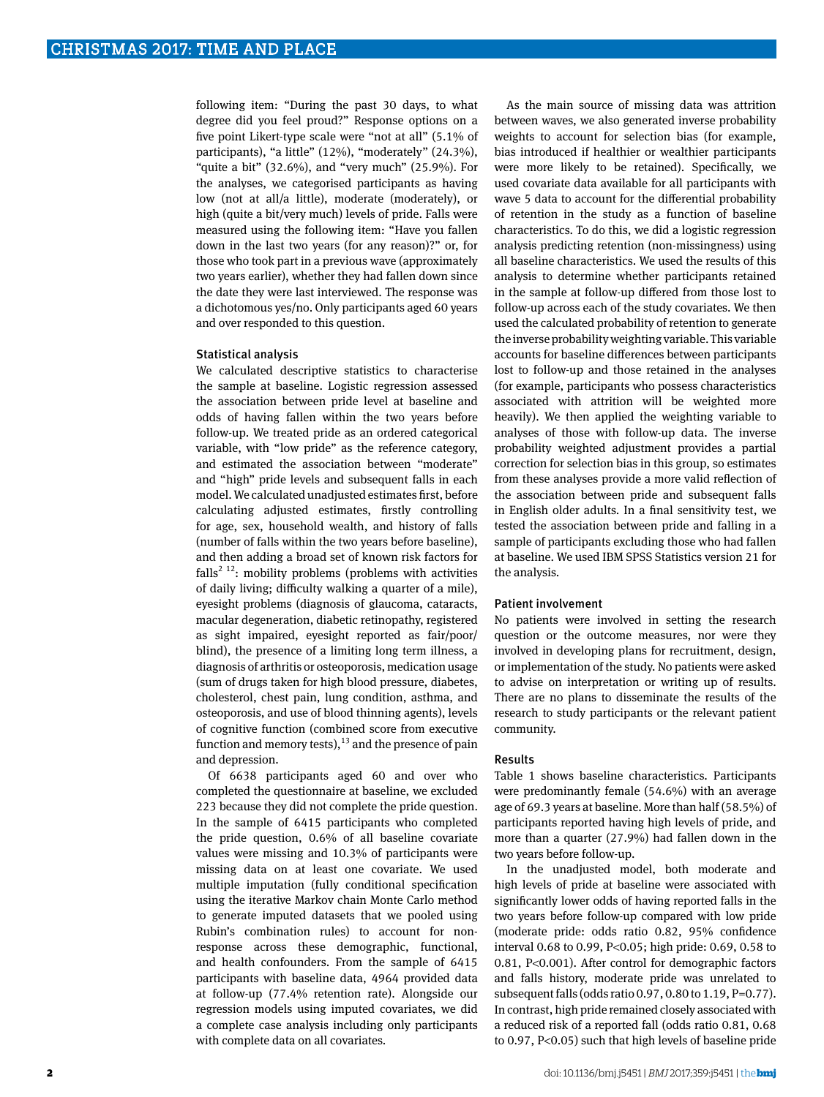following item: "During the past 30 days, to what degree did you feel proud?" Response options on a five point Likert-type scale were "not at all" (5.1% of participants), "a little" (12%), "moderately" (24.3%), "quite a bit" (32.6%), and "very much" (25.9%). For the analyses, we categorised participants as having low (not at all/a little), moderate (moderately), or high (quite a bit/very much) levels of pride. Falls were measured using the following item: "Have you fallen down in the last two years (for any reason)?" or, for those who took part in a previous wave (approximately two years earlier), whether they had fallen down since the date they were last interviewed. The response was a dichotomous yes/no. Only participants aged 60 years and over responded to this question.

### Statistical analysis

We calculated descriptive statistics to characterise the sample at baseline. Logistic regression assessed the association between pride level at baseline and odds of having fallen within the two years before follow-up. We treated pride as an ordered categorical variable, with "low pride" as the reference category, and estimated the association between "moderate" and "high" pride levels and subsequent falls in each model. We calculated unadjusted estimates first, before calculating adjusted estimates, firstly controlling for age, sex, household wealth, and history of falls (number of falls within the two years before baseline), and then adding a broad set of known risk factors for falls<sup>2 12</sup>: mobility problems (problems with activities of daily living; difficulty walking a quarter of a mile), eyesight problems (diagnosis of glaucoma, cataracts, macular degeneration, diabetic retinopathy, registered as sight impaired, eyesight reported as fair/poor/ blind), the presence of a limiting long term illness, a diagnosis of arthritis or osteoporosis, medication usage (sum of drugs taken for high blood pressure, diabetes, cholesterol, chest pain, lung condition, asthma, and osteoporosis, and use of blood thinning agents), levels of cognitive function (combined score from executive function and memory tests), $^{13}$  and the presence of pain and depression.

Of 6638 participants aged 60 and over who completed the questionnaire at baseline, we excluded 223 because they did not complete the pride question. In the sample of 6415 participants who completed the pride question, 0.6% of all baseline covariate values were missing and 10.3% of participants were missing data on at least one covariate. We used multiple imputation (fully conditional specification using the iterative Markov chain Monte Carlo method to generate imputed datasets that we pooled using Rubin's combination rules) to account for nonresponse across these demographic, functional, and health confounders. From the sample of 6415 participants with baseline data, 4964 provided data at follow-up (77.4% retention rate). Alongside our regression models using imputed covariates, we did a complete case analysis including only participants with complete data on all covariates.

As the main source of missing data was attrition between waves, we also generated inverse probability weights to account for selection bias (for example, bias introduced if healthier or wealthier participants were more likely to be retained). Specifically, we used covariate data available for all participants with wave 5 data to account for the differential probability of retention in the study as a function of baseline characteristics. To do this, we did a logistic regression analysis predicting retention (non-missingness) using all baseline characteristics. We used the results of this analysis to determine whether participants retained in the sample at follow-up differed from those lost to follow-up across each of the study covariates. We then used the calculated probability of retention to generate the inverse probability weighting variable. This variable accounts for baseline differences between participants lost to follow-up and those retained in the analyses (for example, participants who possess characteristics associated with attrition will be weighted more heavily). We then applied the weighting variable to analyses of those with follow-up data. The inverse probability weighted adjustment provides a partial correction for selection bias in this group, so estimates from these analyses provide a more valid reflection of the association between pride and subsequent falls in English older adults. In a final sensitivity test, we tested the association between pride and falling in a sample of participants excluding those who had fallen at baseline. We used IBM SPSS Statistics version 21 for the analysis.

## Patient involvement

No patients were involved in setting the research question or the outcome measures, nor were they involved in developing plans for recruitment, design, or implementation of the study. No patients were asked to advise on interpretation or writing up of results. There are no plans to disseminate the results of the research to study participants or the relevant patient community.

#### Results

Table 1 shows baseline characteristics. Participants were predominantly female (54.6%) with an average age of 69.3 years at baseline. More than half (58.5%) of participants reported having high levels of pride, and more than a quarter (27.9%) had fallen down in the two years before follow-up.

In the unadjusted model, both moderate and high levels of pride at baseline were associated with significantly lower odds of having reported falls in the two years before follow-up compared with low pride (moderate pride: odds ratio 0.82, 95% confidence interval 0.68 to 0.99, P<0.05; high pride: 0.69, 0.58 to 0.81, P<0.001). After control for demographic factors and falls history, moderate pride was unrelated to subsequent falls (odds ratio 0.97, 0.80 to 1.19, P=0.77). In contrast, high pride remained closely associated with a reduced risk of a reported fall (odds ratio 0.81, 0.68 to 0.97, P<0.05) such that high levels of baseline pride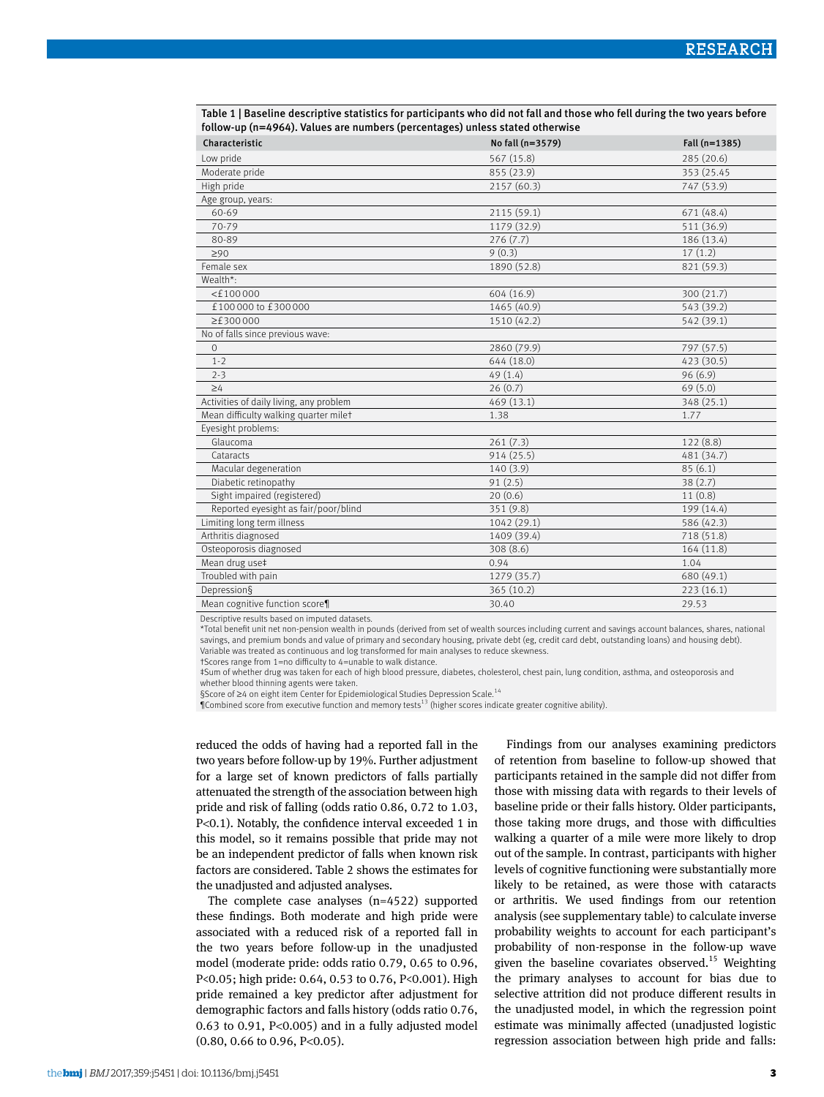| Characteristic                          | No fall (n=3579) | Fall $(n=1385)$ |
|-----------------------------------------|------------------|-----------------|
| Low pride                               | 567 (15.8)       | 285 (20.6)      |
| Moderate pride                          | 855 (23.9)       | 353 (25.45      |
| High pride                              | 2157 (60.3)      | 747 (53.9)      |
| Age group, years:                       |                  |                 |
| 60-69                                   | 2115 (59.1)      | 671 (48.4)      |
| 70-79                                   | 1179 (32.9)      | 511 (36.9)      |
| 80-89                                   | 276(7.7)         | 186 (13.4)      |
| $\geq 90$                               | 9(0.3)           | 17(1.2)         |
| Female sex                              | 1890 (52.8)      | 821 (59.3)      |
| Wealth*:                                |                  |                 |
| $<$ £100000                             | 604 (16.9)       | 300 (21.7)      |
| £100000 to £300000                      | 1465 (40.9)      | 543 (39.2)      |
| $\geq$ £300000                          | 1510 (42.2)      | 542 (39.1)      |
| No of falls since previous wave:        |                  |                 |
| $\overline{0}$                          | 2860 (79.9)      | 797 (57.5)      |
| $1 - 2$                                 | 644 (18.0)       | 423 (30.5)      |
| $2 - 3$                                 | 49(1.4)          | 96(6.9)         |
| $\geq 4$                                | 26(0.7)          | 69(5.0)         |
| Activities of daily living, any problem | 469 (13.1)       | 348 (25.1)      |
| Mean difficulty walking quarter milet   | 1.38             | 1.77            |
| Eyesight problems:                      |                  |                 |
| Glaucoma                                | 261(7.3)         | 122(8.8)        |
| Cataracts                               | 914 (25.5)       | 481 (34.7)      |
| Macular degeneration                    | 140 (3.9)        | 85(6.1)         |
| Diabetic retinopathy                    | 91(2.5)          | 38(2.7)         |
| Sight impaired (registered)             | 20(0.6)          | 11(0.8)         |
| Reported eyesight as fair/poor/blind    | 351 (9.8)        | 199 (14.4)      |
| Limiting long term illness              | 1042 (29.1)      | 586 (42.3)      |
| Arthritis diagnosed                     | 1409 (39.4)      | 718 (51.8)      |
| Osteoporosis diagnosed                  | 308(8.6)         | 164(11.8)       |
| Mean drug use‡                          | 0.94             | 1.04            |
| Troubled with pain                      | 1279 (35.7)      | 680 (49.1)      |
| Depression§                             | 365 (10.2)       | 223(16.1)       |
| Mean cognitive function score¶          | 30.40            | 29.53           |

Table 1 | Baseline descriptive statistics for participants who did not fall and those who fell during the two years before follow-up (n=4964). Values are numbers (percentages) unless stated otherwise

Descriptive results based on imputed datasets.

\*Total benefit unit net non-pension wealth in pounds (derived from set of wealth sources including current and savings account balances, shares, national savings, and premium bonds and value of primary and secondary housing, private debt (eg, credit card debt, outstanding loans) and housing debt). Variable was treated as continuous and log transformed for main analyses to reduce skewness.

†Scores range from 1=no difficulty to 4=unable to walk distance.

‡Sum of whether drug was taken for each of high blood pressure, diabetes, cholesterol, chest pain, lung condition, asthma, and osteoporosis and whether blood thinning agents were taken.

§Score of ≥4 on eight item Center for Epidemiological Studies Depression Scale.<sup>14</sup>

¶Combined score from executive function and memory tests13 (higher scores indicate greater cognitive ability).

reduced the odds of having had a reported fall in the two years before follow-up by 19%. Further adjustment for a large set of known predictors of falls partially attenuated the strength of the association between high pride and risk of falling (odds ratio 0.86, 0.72 to 1.03, P<0.1). Notably, the confidence interval exceeded 1 in this model, so it remains possible that pride may not be an independent predictor of falls when known risk factors are considered. Table 2 shows the estimates for the unadjusted and adjusted analyses.

The complete case analyses (n=4522) supported these findings. Both moderate and high pride were associated with a reduced risk of a reported fall in the two years before follow-up in the unadjusted model (moderate pride: odds ratio 0.79, 0.65 to 0.96, P<0.05; high pride: 0.64, 0.53 to 0.76, P<0.001). High pride remained a key predictor after adjustment for demographic factors and falls history (odds ratio 0.76, 0.63 to 0.91, P<0.005) and in a fully adjusted model (0.80, 0.66 to 0.96, P<0.05).

Findings from our analyses examining predictors of retention from baseline to follow-up showed that participants retained in the sample did not differ from those with missing data with regards to their levels of baseline pride or their falls history. Older participants, those taking more drugs, and those with difficulties walking a quarter of a mile were more likely to drop out of the sample. In contrast, participants with higher levels of cognitive functioning were substantially more likely to be retained, as were those with cataracts or arthritis. We used findings from our retention analysis (see supplementary table) to calculate inverse probability weights to account for each participant's probability of non-response in the follow-up wave given the baseline covariates observed.<sup>15</sup> Weighting the primary analyses to account for bias due to selective attrition did not produce different results in the unadjusted model, in which the regression point estimate was minimally affected (unadjusted logistic regression association between high pride and falls: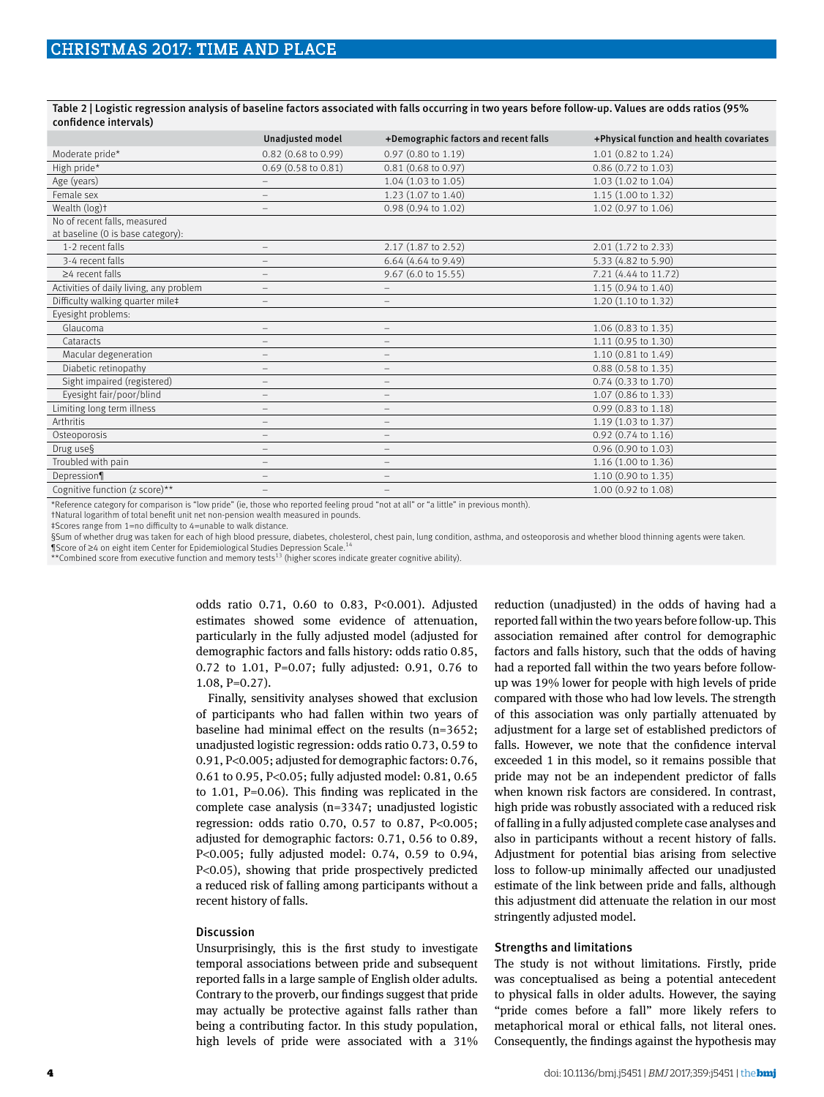Table 2 | Logistic regression analysis of baseline factors associated with falls occurring in two years before follow-up. Values are odds ratios (95% confidence intervals)

|                                         | <b>Unadjusted model</b>  | +Demographic factors and recent falls | +Physical function and health covariates |
|-----------------------------------------|--------------------------|---------------------------------------|------------------------------------------|
| Moderate pride*                         | $0.82$ (0.68 to 0.99)    | 0.97 (0.80 to 1.19)                   | 1.01 (0.82 to 1.24)                      |
| High pride*                             | 0.69 (0.58 to 0.81)      | $0.81$ (0.68 to 0.97)                 | 0.86 (0.72 to 1.03)                      |
| Age (years)                             |                          | 1.04 (1.03 to 1.05)                   | 1.03 (1.02 to 1.04)                      |
| Female sex                              | $\qquad \qquad -$        | 1.23 (1.07 to 1.40)                   | 1.15 (1.00 to 1.32)                      |
| Wealth (log)t                           | -                        | 0.98 (0.94 to 1.02)                   | 1.02 (0.97 to 1.06)                      |
| No of recent falls, measured            |                          |                                       |                                          |
| at baseline (0 is base category):       |                          |                                       |                                          |
| 1-2 recent falls                        | $\qquad \qquad -$        | 2.17 (1.87 to 2.52)                   | 2.01 (1.72 to 2.33)                      |
| 3-4 recent falls                        | -                        | 6.64 (4.64 to 9.49)                   | 5.33 (4.82 to 5.90)                      |
| $\geq$ 4 recent falls                   | -                        | 9.67 (6.0 to 15.55)                   | 7.21 (4.44 to 11.72)                     |
| Activities of daily living, any problem | $\qquad \qquad -$        |                                       | 1.15 (0.94 to 1.40)                      |
| Difficulty walking quarter mile‡        | $\qquad \qquad -$        | $\qquad \qquad -$                     | $1.20(1.10 \text{ to } 1.32)$            |
| Eyesight problems:                      |                          |                                       |                                          |
| Glaucoma                                | -                        | $\overline{\phantom{0}}$              | 1.06 (0.83 to 1.35)                      |
| Cataracts                               | $\qquad \qquad -$        | -                                     | 1.11 (0.95 to 1.30)                      |
| Macular degeneration                    | -                        | -                                     | 1.10 (0.81 to 1.49)                      |
| Diabetic retinopathy                    | -                        | -                                     | 0.88 (0.58 to 1.35)                      |
| Sight impaired (registered)             | -                        | -                                     | 0.74 (0.33 to 1.70)                      |
| Eyesight fair/poor/blind                | $\overline{\phantom{m}}$ | -                                     | 1.07 (0.86 to 1.33)                      |
| Limiting long term illness              | -                        | $\overline{\phantom{m}}$              | 0.99 (0.83 to 1.18)                      |
| Arthritis                               | $\overline{\phantom{0}}$ | $-$                                   | 1.19 (1.03 to 1.37)                      |
| Osteoporosis                            | -                        | -                                     | 0.92 (0.74 to 1.16)                      |
| Drug use§                               | -                        | -                                     | 0.96 (0.90 to 1.03)                      |
| Troubled with pain                      | -                        | $\overline{\phantom{m}}$              | 1.16 (1.00 to 1.36)                      |
| Depression¶                             | -                        | -                                     | 1.10 (0.90 to 1.35)                      |
| Cognitive function (z score)**          | -                        |                                       | 1.00 (0.92 to 1.08)                      |

\*Reference category for comparison is "low pride" (ie, those who reported feeling proud "not at all" or "a little" in previous month).

†Natural logarithm of total benefit unit net non-pension wealth measured in pounds.

‡Scores range from 1=no difficulty to 4=unable to walk distance.

§Sum of whether drug was taken for each of high blood pressure, diabetes, cholesterol, chest pain, lung condition, asthma, and osteoporosis and whether blood thinning agents were taken.

¶Score of ≥4 on eight item Center for Epidemiological Studies Depression Scale.<sup>14</sup>

\*\*Combined score from executive function and memory tests<sup>13</sup> (higher scores indicate greater cognitive ability).

odds ratio 0.71, 0.60 to 0.83, P<0.001). Adjusted estimates showed some evidence of attenuation, particularly in the fully adjusted model (adjusted for demographic factors and falls history: odds ratio 0.85, 0.72 to 1.01, P=0.07; fully adjusted: 0.91, 0.76 to 1.08, P=0.27).

Finally, sensitivity analyses showed that exclusion of participants who had fallen within two years of baseline had minimal effect on the results (n=3652; unadjusted logistic regression: odds ratio 0.73, 0.59 to 0.91, P<0.005; adjusted for demographic factors: 0.76, 0.61 to 0.95, P<0.05; fully adjusted model: 0.81, 0.65 to 1.01, P=0.06). This finding was replicated in the complete case analysis (n=3347; unadjusted logistic regression: odds ratio 0.70, 0.57 to 0.87, P<0.005; adjusted for demographic factors: 0.71, 0.56 to 0.89, P<0.005; fully adjusted model: 0.74, 0.59 to 0.94, P<0.05), showing that pride prospectively predicted a reduced risk of falling among participants without a recent history of falls.

#### Discussion

Unsurprisingly, this is the first study to investigate temporal associations between pride and subsequent reported falls in a large sample of English older adults. Contrary to the proverb, our findings suggest that pride may actually be protective against falls rather than being a contributing factor. In this study population, high levels of pride were associated with a 31%

reduction (unadjusted) in the odds of having had a reported fall within the two years before follow-up. This association remained after control for demographic factors and falls history, such that the odds of having had a reported fall within the two years before followup was 19% lower for people with high levels of pride compared with those who had low levels. The strength of this association was only partially attenuated by adjustment for a large set of established predictors of falls. However, we note that the confidence interval exceeded 1 in this model, so it remains possible that pride may not be an independent predictor of falls when known risk factors are considered. In contrast, high pride was robustly associated with a reduced risk of falling in a fully adjusted complete case analyses and also in participants without a recent history of falls. Adjustment for potential bias arising from selective loss to follow-up minimally affected our unadjusted estimate of the link between pride and falls, although this adjustment did attenuate the relation in our most stringently adjusted model.

## Strengths and limitations

The study is not without limitations. Firstly, pride was conceptualised as being a potential antecedent to physical falls in older adults. However, the saying "pride comes before a fall" more likely refers to metaphorical moral or ethical falls, not literal ones. Consequently, the findings against the hypothesis may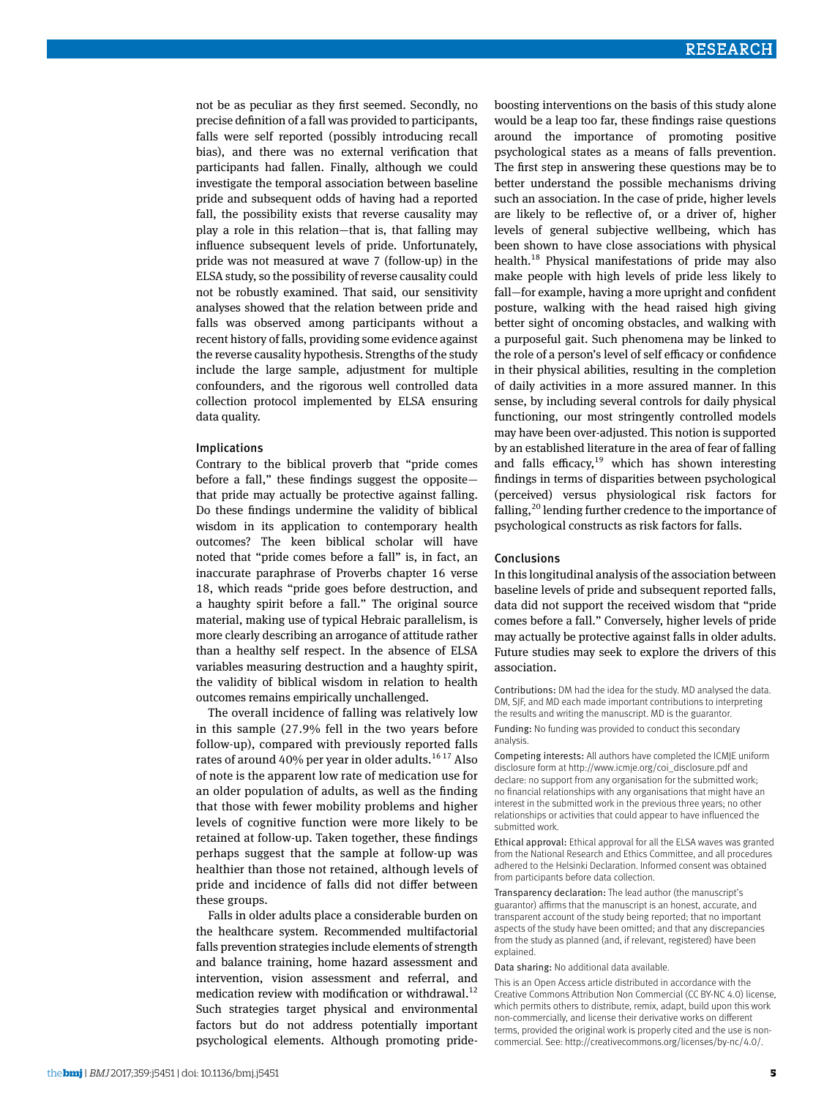not be as peculiar as they first seemed. Secondly, no precise definition of a fall was provided to participants, falls were self reported (possibly introducing recall bias), and there was no external verification that participants had fallen. Finally, although we could investigate the temporal association between baseline pride and subsequent odds of having had a reported fall, the possibility exists that reverse causality may play a role in this relation—that is, that falling may influence subsequent levels of pride. Unfortunately, pride was not measured at wave 7 (follow-up) in the ELSA study, so the possibility of reverse causality could not be robustly examined. That said, our sensitivity analyses showed that the relation between pride and falls was observed among participants without a recent history of falls, providing some evidence against the reverse causality hypothesis. Strengths of the study include the large sample, adjustment for multiple confounders, and the rigorous well controlled data collection protocol implemented by ELSA ensuring data quality.

#### Implications

Contrary to the biblical proverb that "pride comes before a fall," these findings suggest the opposite that pride may actually be protective against falling. Do these findings undermine the validity of biblical wisdom in its application to contemporary health outcomes? The keen biblical scholar will have noted that "pride comes before a fall" is, in fact, an inaccurate paraphrase of Proverbs chapter 16 verse 18, which reads "pride goes before destruction, and a haughty spirit before a fall." The original source material, making use of typical Hebraic parallelism, is more clearly describing an arrogance of attitude rather than a healthy self respect. In the absence of ELSA variables measuring destruction and a haughty spirit, the validity of biblical wisdom in relation to health outcomes remains empirically unchallenged.

The overall incidence of falling was relatively low in this sample (27.9% fell in the two years before follow-up), compared with previously reported falls rates of around 40% per year in older adults.<sup>16 17</sup> Also of note is the apparent low rate of medication use for an older population of adults, as well as the finding that those with fewer mobility problems and higher levels of cognitive function were more likely to be retained at follow-up. Taken together, these findings perhaps suggest that the sample at follow-up was healthier than those not retained, although levels of pride and incidence of falls did not differ between these groups.

Falls in older adults place a considerable burden on the healthcare system. Recommended multifactorial falls prevention strategies include elements of strength and balance training, home hazard assessment and intervention, vision assessment and referral, and medication review with modification or withdrawal. $^{12}$ Such strategies target physical and environmental factors but do not address potentially important psychological elements. Although promoting prideboosting interventions on the basis of this study alone would be a leap too far, these findings raise questions around the importance of promoting positive psychological states as a means of falls prevention. The first step in answering these questions may be to better understand the possible mechanisms driving such an association. In the case of pride, higher levels are likely to be reflective of, or a driver of, higher levels of general subjective wellbeing, which has been shown to have close associations with physical health.18 Physical manifestations of pride may also make people with high levels of pride less likely to fall—for example, having a more upright and confident posture, walking with the head raised high giving better sight of oncoming obstacles, and walking with a purposeful gait. Such phenomena may be linked to the role of a person's level of self efficacy or confidence in their physical abilities, resulting in the completion of daily activities in a more assured manner. In this sense, by including several controls for daily physical functioning, our most stringently controlled models may have been over-adjusted. This notion is supported by an established literature in the area of fear of falling and falls efficacy, $19$  which has shown interesting findings in terms of disparities between psychological (perceived) versus physiological risk factors for falling,20 lending further credence to the importance of psychological constructs as risk factors for falls.

### Conclusions

In this longitudinal analysis of the association between baseline levels of pride and subsequent reported falls, data did not support the received wisdom that "pride comes before a fall." Conversely, higher levels of pride may actually be protective against falls in older adults. Future studies may seek to explore the drivers of this association.

Contributions: DM had the idea for the study. MD analysed the data. DM, SJF, and MD each made important contributions to interpreting the results and writing the manuscript. MD is the guarantor. Funding: No funding was provided to conduct this secondary analysis.

Competing interests: All authors have completed the ICMJE uniform disclosure form at [http://www.icmje.org/coi\\_disclosure.pdf](http://www.icmje.org/coi_disclosure.pdf) and declare: no support from any organisation for the submitted work; no financial relationships with any organisations that might have an interest in the submitted work in the previous three years; no other relationships or activities that could appear to have influenced the submitted work.

Ethical approval: Ethical approval for all the ELSA waves was granted from the National Research and Ethics Committee, and all procedures adhered to the Helsinki Declaration. Informed consent was obtained from participants before data collection.

Transparency declaration: The lead author (the manuscript's guarantor) affirms that the manuscript is an honest, accurate, and transparent account of the study being reported; that no important aspects of the study have been omitted; and that any discrepancies from the study as planned (and, if relevant, registered) have been explained.

Data sharing: No additional data available.

This is an Open Access article distributed in accordance with the Creative Commons Attribution Non Commercial (CC BY-NC 4.0) license, which permits others to distribute, remix, adapt, build upon this work non-commercially, and license their derivative works on different terms, provided the original work is properly cited and the use is noncommercial. See:<http://creativecommons.org/licenses/by-nc/4.0/>.